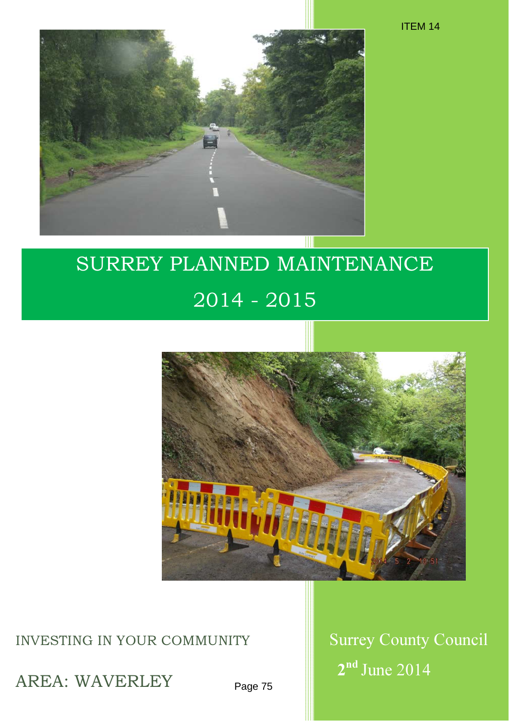

# SURREY PLANNED MAINTENANCE 2014 - 2015



#### INVESTING IN YOUR COMMUNITY Surrey County Council

AREA: WAVERLEY

Page 75

2<sup>nd</sup> June 2014

ITEM 14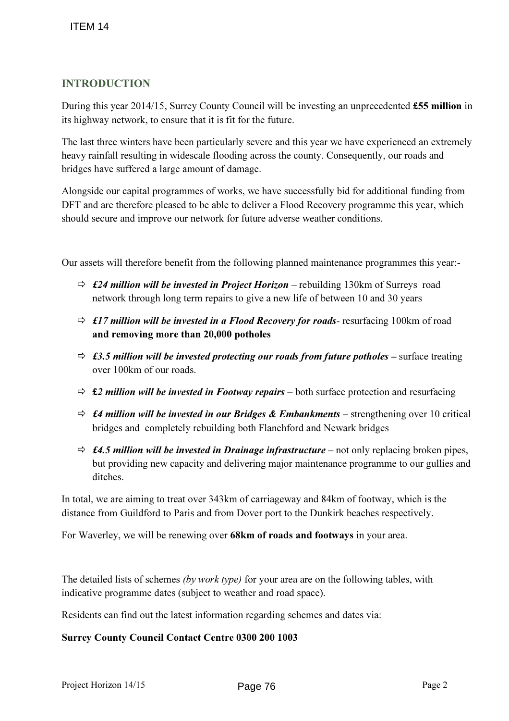#### INTRODUCTION

During this year 2014/15, Surrey County Council will be investing an unprecedented £55 million in its highway network, to ensure that it is fit for the future.

The last three winters have been particularly severe and this year we have experienced an extremely heavy rainfall resulting in widescale flooding across the county. Consequently, our roads and bridges have suffered a large amount of damage.

Alongside our capital programmes of works, we have successfully bid for additional funding from DFT and are therefore pleased to be able to deliver a Flood Recovery programme this year, which should secure and improve our network for future adverse weather conditions.

Our assets will therefore benefit from the following planned maintenance programmes this year:-

- $\Rightarrow$  £24 million will be invested in Project Horizon rebuilding 130km of Surreys road network through long term repairs to give a new life of between 10 and 30 years
- $\Rightarrow$  £17 million will be invested in a Flood Recovery for roads- resurfacing 100km of road and removing more than 20,000 potholes
- $\Rightarrow$  £3.5 million will be invested protecting our roads from future potholes surface treating over 100km of our roads.
- $\Rightarrow$  £2 million will be invested in Footway repairs both surface protection and resurfacing
- $\Rightarrow$  £4 million will be invested in our Bridges & Embankments strengthening over 10 critical bridges and completely rebuilding both Flanchford and Newark bridges
- $\Rightarrow$  £4.5 million will be invested in Drainage infrastructure not only replacing broken pipes, but providing new capacity and delivering major maintenance programme to our gullies and ditches.

In total, we are aiming to treat over 343km of carriageway and 84km of footway, which is the distance from Guildford to Paris and from Dover port to the Dunkirk beaches respectively.

For Waverley, we will be renewing over 68km of roads and footways in your area.

The detailed lists of schemes *(by work type)* for your area are on the following tables, with indicative programme dates (subject to weather and road space).

Residents can find out the latest information regarding schemes and dates via:

#### Surrey County Council Contact Centre 0300 200 1003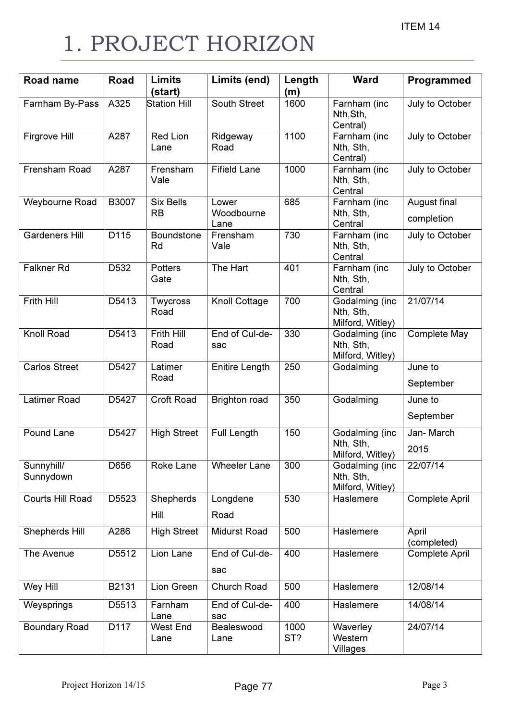# 1. PROJECT HORIZON

| <b>Road name</b>        | Road  | <b>Limits</b>                 | Limits (end)                | Length      | <b>Ward</b>                                     | Programmed                 |
|-------------------------|-------|-------------------------------|-----------------------------|-------------|-------------------------------------------------|----------------------------|
|                         |       | (start)                       |                             | (m)         |                                                 |                            |
| Farnham By-Pass         | A325  | <b>Station Hill</b>           | South Street                | 1600        | Farnham (inc<br>Nth, Sth,<br>Central)           | July to October            |
| Firgrove Hill           | A287  | <b>Red Lion</b><br>Lane       | Ridgeway<br>Road            | 1100        | Farnham (inc<br>Nth, Sth,<br>Central)           | July to October            |
| Frensham Road           | A287  | Frensham<br>Vale              | <b>Fifield Lane</b>         | 1000        | Farnham (inc<br>Nth, Sth,<br>Central            | July to October            |
| Weybourne Road          | B3007 | <b>Six Bells</b><br><b>RB</b> | Lower<br>Woodbourne<br>Lane | 685         | Farnham (inc<br>Nth, Sth,<br>Central            | August final<br>completion |
| <b>Gardeners Hill</b>   | D115  | Boundstone<br>Rd              | Frensham<br>Vale            | 730         | Farnham (inc<br>Nth, Sth,<br>Central            | July to October            |
| <b>Falkner Rd</b>       | D532  | <b>Potters</b><br>Gate        | The Hart                    | 401         | Farnham (inc<br>Nth, Sth,<br>Central            | July to October            |
| <b>Frith Hill</b>       | D5413 | Twycross<br>Road              | Knoll Cottage               | 700         | Godalming (inc<br>Nth, Sth,<br>Milford, Witley) | 21/07/14                   |
| Knoll Road              | D5413 | Frith Hill<br>Road            | End of Cul-de-<br>sac       | 330         | Godalming (inc<br>Nth, Sth,<br>Milford, Witley) | Complete May               |
| <b>Carlos Street</b>    | D5427 | Latimer<br>Road               | <b>Enitire Length</b>       | 250         | Godalming                                       | June to<br>September       |
| <b>Latimer Road</b>     | D5427 | <b>Croft Road</b>             | <b>Brighton road</b>        | 350         | Godalming                                       | June to<br>September       |
| Pound Lane              | D5427 | <b>High Street</b>            | <b>Full Length</b>          | 150         | Godalming (inc<br>Nth, Sth,<br>Milford, Witley) | Jan-March<br>2015          |
| Sunnyhill/<br>Sunnydown | D656  | Roke Lane                     | <b>Wheeler Lane</b>         | 300         | Godalming (inc<br>Nth, Sth,<br>Milford, Witley) | 22/07/14                   |
| Courts Hill Road        | D5523 | <b>Shepherds</b><br>Hill      | Longdene<br>Road            | 530         | Haslemere                                       | <b>Complete April</b>      |
| Shepherds Hill          | A286  | <b>High Street</b>            | <b>Midurst Road</b>         | 500         | Haslemere                                       | April<br>(completed)       |
| The Avenue              | D5512 | Lion Lane                     | End of Cul-de-<br>sac       | 400         | Haslemere                                       | <b>Complete April</b>      |
| Wey Hill                | B2131 | Lion Green                    | Church Road                 | 500         | Haslemere                                       | 12/08/14                   |
| Weysprings              | D5513 | Farnham<br>Lane               | End of Cul-de-<br>sac       | 400         | Haslemere                                       | 14/08/14                   |
| <b>Boundary Road</b>    | D117  | <b>West End</b><br>Lane       | Bealeswood<br>Lane          | 1000<br>ST? | Waverley<br>Western<br>Villages                 | 24/07/14                   |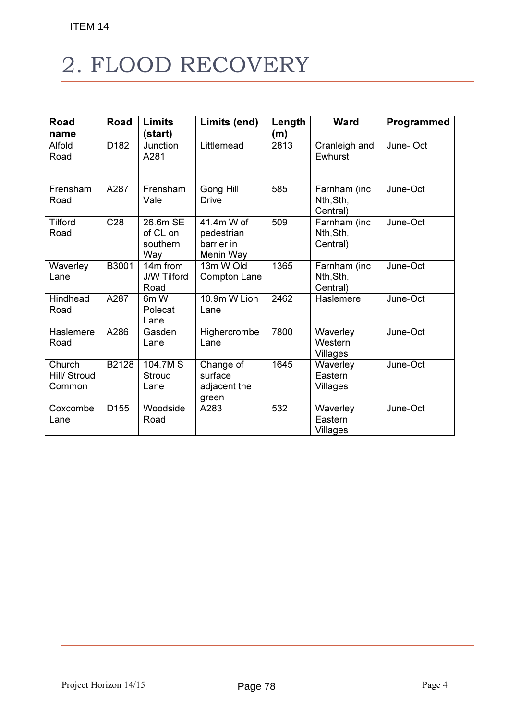# 2. FLOOD RECOVERY

| Road                             | Road             | <b>Limits</b>                           | Limits (end)                                        | Length | <b>Ward</b>                           | Programmed |
|----------------------------------|------------------|-----------------------------------------|-----------------------------------------------------|--------|---------------------------------------|------------|
| name                             |                  | (start)                                 |                                                     | (m)    |                                       |            |
| Alfold<br>Road                   | D182             | Junction<br>A281                        | Littlemead                                          | 2813   | Cranleigh and<br>Ewhurst              | June-Oct   |
| Frensham<br>Road                 | A287             | Frensham<br>Vale                        | Gong Hill<br><b>Drive</b>                           | 585    | Farnham (inc<br>Nth, Sth,<br>Central) | June-Oct   |
| <b>Tilford</b><br>Road           | C <sub>28</sub>  | 26.6m SE<br>of CL on<br>southern<br>Way | 41.4m W of<br>pedestrian<br>barrier in<br>Menin Way | 509    | Farnham (inc<br>Nth, Sth,<br>Central) | June-Oct   |
| Waverley<br>Lane                 | B3001            | 14m from<br><b>J/W Tilford</b><br>Road  | 13m W Old<br>Compton Lane                           | 1365   | Farnham (inc<br>Nth, Sth,<br>Central) | June-Oct   |
| Hindhead<br>Road                 | A287             | 6m W<br>Polecat<br>Lane                 | 10.9m W Lion<br>Lane                                | 2462   | <b>Haslemere</b>                      | June-Oct   |
| Haslemere<br>Road                | A286             | Gasden<br>Lane                          | Highercrombe<br>Lane                                | 7800   | Waverley<br>Western<br>Villages       | June-Oct   |
| Church<br>Hill/ Stroud<br>Common | B2128            | 104.7M S<br><b>Stroud</b><br>Lane       | Change of<br>surface<br>adjacent the<br>green       | 1645   | Waverley<br>Eastern<br>Villages       | June-Oct   |
| Coxcombe<br>Lane                 | D <sub>155</sub> | Woodside<br>Road                        | A283                                                | 532    | Waverley<br>Eastern<br>Villages       | June-Oct   |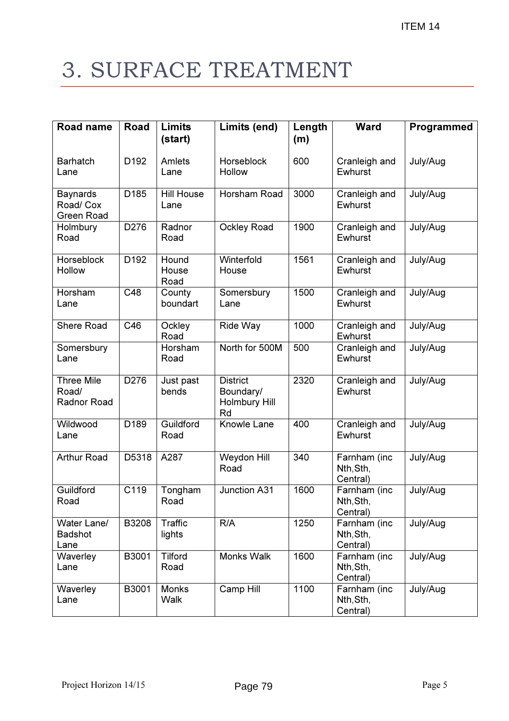# 3. SURFACE TREATMENT

| <b>Road name</b>                           | Road             | <b>Limits</b>             | Limits (end)                                        | Length | <b>Ward</b>                           | Programmed |
|--------------------------------------------|------------------|---------------------------|-----------------------------------------------------|--------|---------------------------------------|------------|
|                                            |                  | (start)                   |                                                     | (m)    |                                       |            |
| <b>Barhatch</b><br>Lane                    | D <sub>192</sub> | Amlets<br>Lane            | Horseblock<br>Hollow                                | 600    | Cranleigh and<br>Ewhurst              | July/Aug   |
| <b>Baynards</b><br>Road/ Cox<br>Green Road | D185             | <b>Hill House</b><br>Lane | Horsham Road                                        | 3000   | Cranleigh and<br>Ewhurst              | July/Aug   |
| Holmbury<br>Road                           | D276             | Radnor<br>Road            | <b>Ockley Road</b>                                  | 1900   | Cranleigh and<br>Ewhurst              | July/Aug   |
| Horseblock<br>Hollow                       | D <sub>192</sub> | Hound<br>House<br>Road    | Winterfold<br>House                                 | 1561   | Cranleigh and<br>Ewhurst              | July/Aug   |
| Horsham<br>Lane                            | C48              | County<br>boundart        | Somersbury<br>Lane                                  | 1500   | Cranleigh and<br>Ewhurst              | July/Aug   |
| <b>Shere Road</b>                          | C46              | Ockley<br>Road            | Ride Way                                            | 1000   | Cranleigh and<br>Ewhurst              | July/Aug   |
| Somersbury<br>Lane                         |                  | Horsham<br>Road           | North for 500M                                      | 500    | Cranleigh and<br>Ewhurst              | July/Aug   |
| <b>Three Mile</b><br>Road/<br>Radnor Road  | D276             | Just past<br>bends        | <b>District</b><br>Boundary/<br>Holmbury Hill<br>Rd | 2320   | Cranleigh and<br>Ewhurst              | July/Aug   |
| Wildwood<br>Lane                           | D189             | Guildford<br>Road         | Knowle Lane                                         | 400    | Cranleigh and<br>Ewhurst              | July/Aug   |
| <b>Arthur Road</b>                         | D5318            | A287                      | Weydon Hill<br>Road                                 | 340    | Farnham (inc<br>Nth, Sth,<br>Central) | July/Aug   |
| Guildford<br>Road                          | C119             | Tongham<br>Road           | Junction A31                                        | 1600   | Farnham (inc<br>Nth, Sth,<br>Central) | July/Aug   |
| Water Lane/<br><b>Badshot</b><br>Lane      | B3208            | Traffic<br>lights         | R/A                                                 | 1250   | Farnham (inc<br>Nth, Sth,<br>Central) | July/Aug   |
| Waverley<br>Lane                           | B3001            | Tilford<br>Road           | Monks Walk                                          | 1600   | Farnham (inc<br>Nth, Sth,<br>Central) | July/Aug   |
| Waverley<br>Lane                           | B3001            | <b>Monks</b><br>Walk      | Camp Hill                                           | 1100   | Farnham (inc<br>Nth, Sth,<br>Central) | July/Aug   |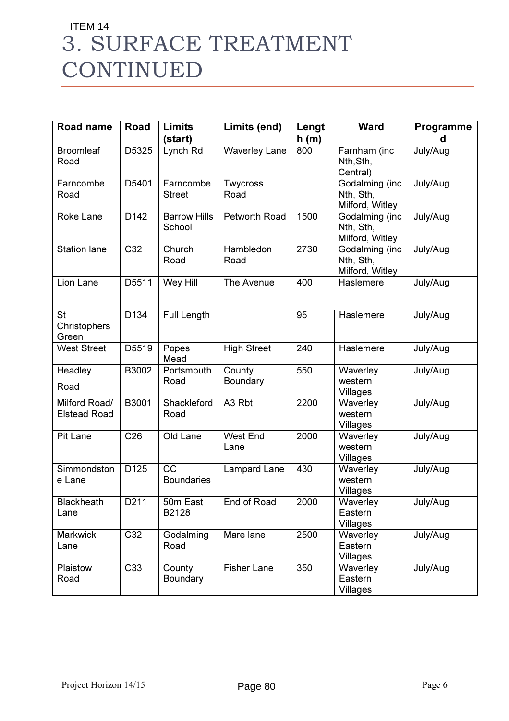### 3. SURFACE TREATMENT CONTINUED ITEM 14

| <b>Road name</b>                     | Road              | <b>Limits</b><br>(start)             | Limits (end)                   | Lengt<br>h(m) | <b>Ward</b>                                    | Programme<br>d |
|--------------------------------------|-------------------|--------------------------------------|--------------------------------|---------------|------------------------------------------------|----------------|
| <b>Broomleaf</b><br>Road             | D5325             | Lynch Rd                             | Waverley Lane                  | 800           | Farnham (inc<br>Nth, Sth,<br>Central)          | July/Aug       |
| Farncombe<br>Road                    | D5401             | Farncombe<br><b>Street</b>           | Twycross<br>Road               |               | Godalming (inc<br>Nth, Sth,<br>Milford, Witley | July/Aug       |
| Roke Lane                            | D142              | <b>Barrow Hills</b><br>School        | Petworth Road                  | 1500          | Godalming (inc<br>Nth, Sth,<br>Milford, Witley | July/Aug       |
| <b>Station lane</b>                  | $\overline{C32}$  | Church<br>Road                       | Hambledon<br>Road              | 2730          | Godalming (inc<br>Nth, Sth,<br>Milford, Witley | July/Aug       |
| Lion Lane                            | D5511             | Wey Hill                             | The Avenue                     | 400           | Haslemere                                      | July/Aug       |
| <b>St</b><br>Christophers<br>Green   | D134              | Full Length                          |                                | 95            | Haslemere                                      | July/Aug       |
| <b>West Street</b>                   | D5519             | Popes<br>Mead                        | <b>High Street</b>             | 240           | Haslemere                                      | July/Aug       |
| Headley<br>Road                      | B3002             | Portsmouth<br>Road                   | County<br>Boundary             | 550           | Waverley<br>western<br>Villages                | July/Aug       |
| Milford Road/<br><b>Elstead Road</b> | B3001             | Shackleford<br>Road                  | A <sub>3</sub> R <sub>bt</sub> | 2200          | Waverley<br>western<br>Villages                | July/Aug       |
| Pit Lane                             | C <sub>26</sub>   | Old Lane                             | <b>West End</b><br>Lane        | 2000          | Waverley<br>western<br>Villages                | July/Aug       |
| Simmondston<br>e Lane                | D <sub>125</sub>  | $\overline{cc}$<br><b>Boundaries</b> | Lampard Lane                   | 430           | Waverley<br>western<br>Villages                | July/Aug       |
| Blackheath<br>Lane                   | D <sub>2</sub> 11 | 50m East<br>B2128                    | End of Road                    | 2000          | Waverley<br>Eastern<br>Villages                | July/Aug       |
| Markwick<br>Lane                     | C <sub>32</sub>   | Godalming<br>Road                    | Mare lane                      | 2500          | Waverley<br>Eastern<br>Villages                | July/Aug       |
| Plaistow<br>Road                     | C33               | County<br>Boundary                   | <b>Fisher Lane</b>             | 350           | Waverley<br>Eastern<br>Villages                | July/Aug       |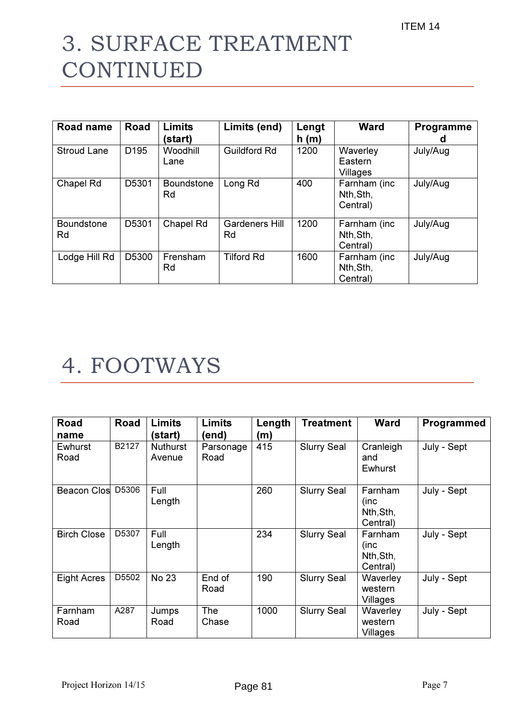# 3. SURFACE TREATMENT CONTINUED

| Road name               | Road             | Limits<br>(start)       | Limits (end)                | Lengt<br>h(m) | <b>Ward</b>                           | <b>Programme</b><br>a |
|-------------------------|------------------|-------------------------|-----------------------------|---------------|---------------------------------------|-----------------------|
| <b>Stroud Lane</b>      | D <sub>195</sub> | Woodhill<br>Lane        | <b>Guildford Rd</b>         | 1200          | Waverley<br>Eastern<br>Villages       | July/Aug              |
| Chapel Rd               | D5301            | <b>Boundstone</b><br>Rd | Long Rd                     | 400           | Farnham (inc<br>Nth, Sth,<br>Central) | July/Aug              |
| <b>Boundstone</b><br>Rd | D5301            | Chapel Rd               | <b>Gardeners Hill</b><br>Rd | 1200          | Farnham (inc<br>Nth, Sth,<br>Central) | July/Aug              |
| Lodge Hill Rd           | D5300            | Frensham<br>Rd          | <b>Tilford Rd</b>           | 1600          | Farnham (inc<br>Nth, Sth,<br>Central) | July/Aug              |

### 4. FOOTWAYS

| Road<br>name       | Road  | <b>Limits</b><br>(start)  | <b>Limits</b><br>(end) | Length<br>(m) | <b>Treatment</b>   | <b>Ward</b>                              | Programmed  |
|--------------------|-------|---------------------------|------------------------|---------------|--------------------|------------------------------------------|-------------|
| Ewhurst<br>Road    | B2127 | <b>Nuthurst</b><br>Avenue | Parsonage<br>Road      | 415           | <b>Slurry Seal</b> | Cranleigh<br>and<br>Ewhurst              | July - Sept |
| <b>Beacon Clos</b> | D5306 | Full<br>Length            |                        | 260           | <b>Slurry Seal</b> | Farnham<br>(inc<br>Nth, Sth,<br>Central) | July - Sept |
| <b>Birch Close</b> | D5307 | Full<br>Length            |                        | 234           | <b>Slurry Seal</b> | Farnham<br>(inc<br>Nth, Sth,<br>Central) | July - Sept |
| <b>Eight Acres</b> | D5502 | No 23                     | End of<br>Road         | 190           | <b>Slurry Seal</b> | Waverley<br>western<br>Villages          | July - Sept |
| Farnham<br>Road    | A287  | Jumps<br>Road             | <b>The</b><br>Chase    | 1000          | <b>Slurry Seal</b> | Waverley<br>western<br>Villages          | July - Sept |